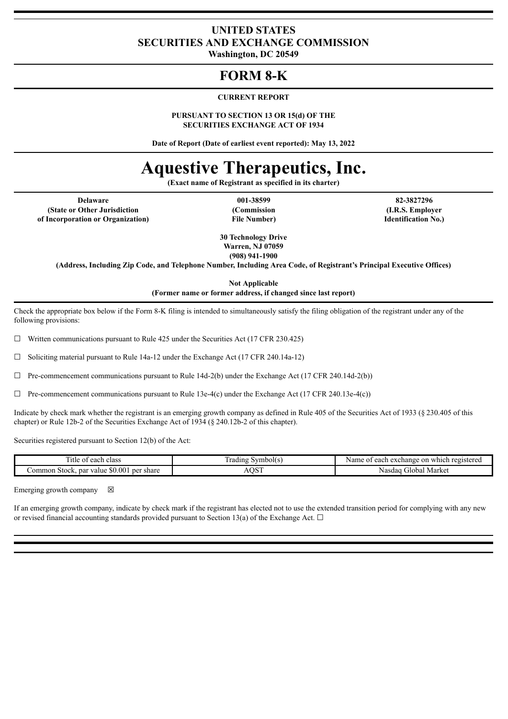# **UNITED STATES SECURITIES AND EXCHANGE COMMISSION**

**Washington, DC 20549**

# **FORM 8-K**

## **CURRENT REPORT**

#### **PURSUANT TO SECTION 13 OR 15(d) OF THE SECURITIES EXCHANGE ACT OF 1934**

**Date of Report (Date of earliest event reported): May 13, 2022**

# **Aquestive Therapeutics, Inc.**

**(Exact name of Registrant as specified in its charter)**

**Delaware 001-38599 82-3827296 (State or Other Jurisdiction of Incorporation or Organization)**

**(Commission File Number)**

**(I.R.S. Employer Identification No.)**

**30 Technology Drive Warren, NJ 07059 (908) 941-1900**

**(Address, Including Zip Code, and Telephone Number, Including Area Code, of Registrant's Principal Executive Offices)**

**Not Applicable**

**(Former name or former address, if changed since last report)**

Check the appropriate box below if the Form 8-K filing is intended to simultaneously satisfy the filing obligation of the registrant under any of the following provisions:

 $\Box$  Written communications pursuant to Rule 425 under the Securities Act (17 CFR 230.425)

 $\Box$  Soliciting material pursuant to Rule 14a-12 under the Exchange Act (17 CFR 240.14a-12)

 $\Box$  Pre-commencement communications pursuant to Rule 14d-2(b) under the Exchange Act (17 CFR 240.14d-2(b))

 $\Box$  Pre-commencement communications pursuant to Rule 13e-4(c) under the Exchange Act (17 CFR 240.13e-4(c))

Indicate by check mark whether the registrant is an emerging growth company as defined in Rule 405 of the Securities Act of 1933 (§ 230.405 of this chapter) or Rule 12b-2 of the Securities Exchange Act of 1934 (§ 240.12b-2 of this chapter).

Securities registered pursuant to Section 12(b) of the Act:

| ÷,<br>class<br><sub>1</sub> tle<br>each<br>- 12                 | $\sim$<br>vmbol(s)<br>rading | . on<br>registered<br>Name.<br>. exchange<br>each<br>which |
|-----------------------------------------------------------------|------------------------------|------------------------------------------------------------|
| . \$0.007<br>par<br>share<br>per<br>. ommon<br>value.<br>Stock. | $\alpha$<br>,,,,,            | . Market<br>Cilobal<br>Nasdac                              |

Emerging growth company  $\boxtimes$ 

If an emerging growth company, indicate by check mark if the registrant has elected not to use the extended transition period for complying with any new or revised financial accounting standards provided pursuant to Section 13(a) of the Exchange Act.  $\Box$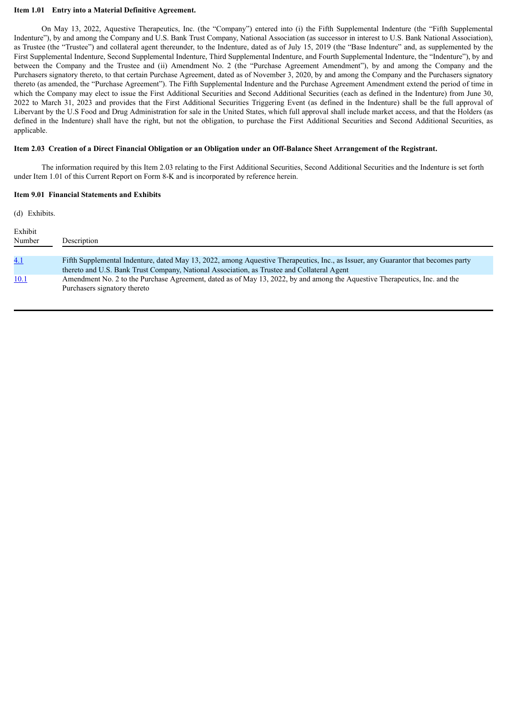#### **Item 1.01 Entry into a Material Definitive Agreement.**

On May 13, 2022, Aquestive Therapeutics, Inc. (the "Company") entered into (i) the Fifth Supplemental Indenture (the "Fifth Supplemental Indenture"), by and among the Company and U.S. Bank Trust Company, National Association (as successor in interest to U.S. Bank National Association), as Trustee (the "Trustee") and collateral agent thereunder, to the Indenture, dated as of July 15, 2019 (the "Base Indenture" and, as supplemented by the First Supplemental Indenture, Second Supplemental Indenture, Third Supplemental Indenture, and Fourth Supplemental Indenture, the "Indenture"), by and between the Company and the Trustee and (ii) Amendment No. 2 (the "Purchase Agreement Amendment"), by and among the Company and the Purchasers signatory thereto, to that certain Purchase Agreement, dated as of November 3, 2020, by and among the Company and the Purchasers signatory thereto (as amended, the "Purchase Agreement"). The Fifth Supplemental Indenture and the Purchase Agreement Amendment extend the period of time in which the Company may elect to issue the First Additional Securities and Second Additional Securities (each as defined in the Indenture) from June 30, 2022 to March 31, 2023 and provides that the First Additional Securities Triggering Event (as defined in the Indenture) shall be the full approval of Libervant by the U.S Food and Drug Administration for sale in the United States, which full approval shall include market access, and that the Holders (as defined in the Indenture) shall have the right, but not the obligation, to purchase the First Additional Securities and Second Additional Securities, as applicable.

#### Item 2.03 Creation of a Direct Financial Obligation or an Obligation under an Off-Balance Sheet Arrangement of the Registrant.

The information required by this Item 2.03 relating to the First Additional Securities, Second Additional Securities and the Indenture is set forth under Item 1.01 of this Current Report on Form 8-K and is incorporated by reference herein.

#### **Item 9.01 Financial Statements and Exhibits**

(d) Exhibits.

| Exhibit<br>Number | Description                                                                                                                                                                                                                     |
|-------------------|---------------------------------------------------------------------------------------------------------------------------------------------------------------------------------------------------------------------------------|
|                   |                                                                                                                                                                                                                                 |
| 4.1               | Fifth Supplemental Indenture, dated May 13, 2022, among Aquestive Therapeutics, Inc., as Issuer, any Guarantor that becomes party<br>thereto and U.S. Bank Trust Company, National Association, as Trustee and Collateral Agent |
| <b>10.1</b>       | Amendment No. 2 to the Purchase Agreement, dated as of May 13, 2022, by and among the Aquestive Therapeutics, Inc. and the<br>Purchasers signatory thereto                                                                      |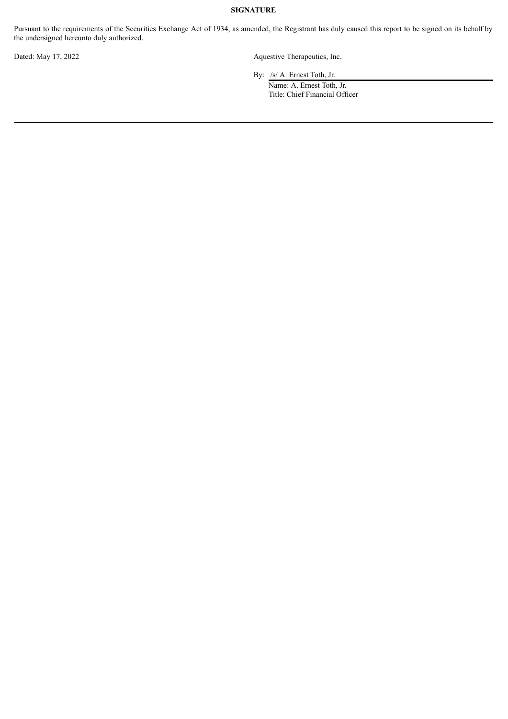# **SIGNATURE**

Pursuant to the requirements of the Securities Exchange Act of 1934, as amended, the Registrant has duly caused this report to be signed on its behalf by the undersigned hereunto duly authorized.

Dated: May 17, 2022 Aquestive Therapeutics, Inc.

By: /s/ A. Ernest Toth, Jr.

Name: A. Ernest Toth, Jr. Title: Chief Financial Officer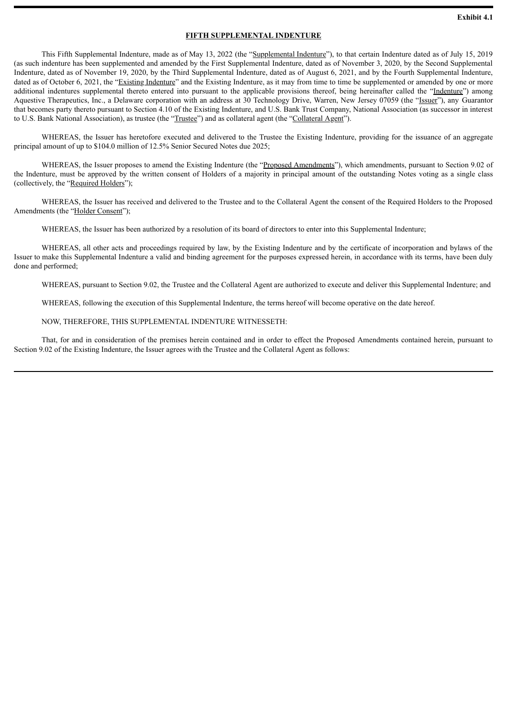#### **FIFTH SUPPLEMENTAL INDENTURE**

<span id="page-3-0"></span>This Fifth Supplemental Indenture, made as of May 13, 2022 (the "Supplemental Indenture"), to that certain Indenture dated as of July 15, 2019 (as such indenture has been supplemented and amended by the First Supplemental Indenture, dated as of November 3, 2020, by the Second Supplemental Indenture, dated as of November 19, 2020, by the Third Supplemental Indenture, dated as of August 6, 2021, and by the Fourth Supplemental Indenture, dated as of October 6, 2021, the "Existing Indenture" and the Existing Indenture, as it may from time to time be supplemented or amended by one or more additional indentures supplemental thereto entered into pursuant to the applicable provisions thereof, being hereinafter called the "Indenture") among Aquestive Therapeutics, Inc., a Delaware corporation with an address at 30 Technology Drive, Warren, New Jersey 07059 (the "Issuer"), any Guarantor that becomes party thereto pursuant to Section 4.10 of the Existing Indenture, and U.S. Bank Trust Company, National Association (as successor in interest to U.S. Bank National Association), as trustee (the "Trustee") and as collateral agent (the "Collateral Agent").

WHEREAS, the Issuer has heretofore executed and delivered to the Trustee the Existing Indenture, providing for the issuance of an aggregate principal amount of up to \$104.0 million of 12.5% Senior Secured Notes due 2025;

WHEREAS, the Issuer proposes to amend the Existing Indenture (the "Proposed Amendments"), which amendments, pursuant to Section 9.02 of the Indenture, must be approved by the written consent of Holders of a majority in principal amount of the outstanding Notes voting as a single class (collectively, the "Required Holders");

WHEREAS, the Issuer has received and delivered to the Trustee and to the Collateral Agent the consent of the Required Holders to the Proposed Amendments (the "Holder Consent");

WHEREAS, the Issuer has been authorized by a resolution of its board of directors to enter into this Supplemental Indenture;

WHEREAS, all other acts and proceedings required by law, by the Existing Indenture and by the certificate of incorporation and bylaws of the Issuer to make this Supplemental Indenture a valid and binding agreement for the purposes expressed herein, in accordance with its terms, have been duly done and performed;

WHEREAS, pursuant to Section 9.02, the Trustee and the Collateral Agent are authorized to execute and deliver this Supplemental Indenture; and

WHEREAS, following the execution of this Supplemental Indenture, the terms hereof will become operative on the date hereof.

#### NOW, THEREFORE, THIS SUPPLEMENTAL INDENTURE WITNESSETH:

That, for and in consideration of the premises herein contained and in order to effect the Proposed Amendments contained herein, pursuant to Section 9.02 of the Existing Indenture, the Issuer agrees with the Trustee and the Collateral Agent as follows: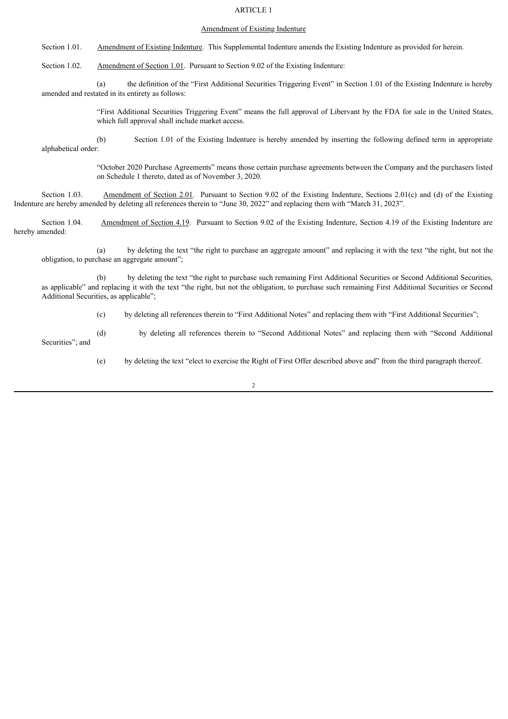# ARTICLE 1

#### Amendment of Existing Indenture

Section 1.01. Amendment of Existing Indenture. This Supplemental Indenture amends the Existing Indenture as provided for herein.

Section 1.02. Amendment of Section 1.01. Pursuant to Section 9.02 of the Existing Indenture:

(a) the definition of the "First Additional Securities Triggering Event" in Section 1.01 of the Existing Indenture is hereby amended and restated in its entirety as follows:

> "First Additional Securities Triggering Event" means the full approval of Libervant by the FDA for sale in the United States, which full approval shall include market access.

(b) Section 1.01 of the Existing Indenture is hereby amended by inserting the following defined term in appropriate alphabetical order:

> "October 2020 Purchase Agreements" means those certain purchase agreements between the Company and the purchasers listed on Schedule 1 thereto, dated as of November 3, 2020.

Section 1.03. Amendment of Section 2.01. Pursuant to Section 9.02 of the Existing Indenture, Sections 2.01(c) and (d) of the Existing Indenture are hereby amended by deleting all references therein to "June 30, 2022" and replacing them with "March 31, 2023".

Section 1.04. Amendment of Section 4.19. Pursuant to Section 9.02 of the Existing Indenture, Section 4.19 of the Existing Indenture are hereby amended:

(a) by deleting the text "the right to purchase an aggregate amount" and replacing it with the text "the right, but not the obligation, to purchase an aggregate amount";

(b) by deleting the text "the right to purchase such remaining First Additional Securities or Second Additional Securities, as applicable" and replacing it with the text "the right, but not the obligation, to purchase such remaining First Additional Securities or Second Additional Securities, as applicable";

(c) by deleting all references therein to "First Additional Notes" and replacing them with "First Additional Securities";

(d) by deleting all references therein to "Second Additional Notes" and replacing them with "Second Additional Securities"; and

(e) by deleting the text "elect to exercise the Right of First Offer described above and" from the third paragraph thereof.

2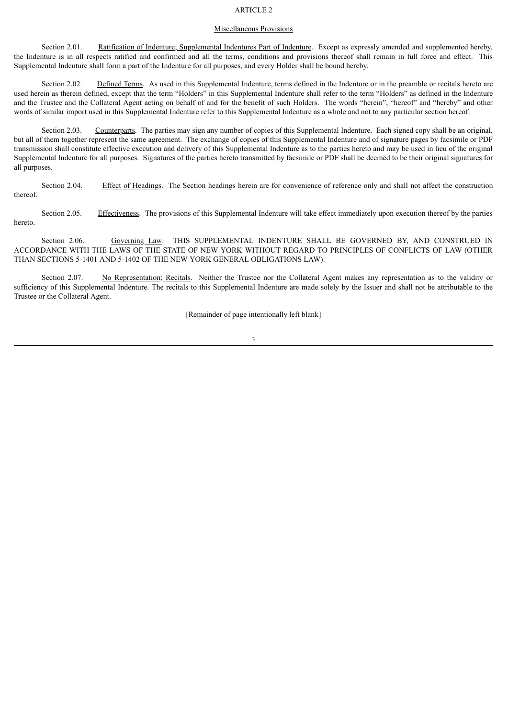# ARTICLE 2

#### Miscellaneous Provisions

Section 2.01. Ratification of Indenture; Supplemental Indentures Part of Indenture. Except as expressly amended and supplemented hereby, the Indenture is in all respects ratified and confirmed and all the terms, conditions and provisions thereof shall remain in full force and effect. This Supplemental Indenture shall form a part of the Indenture for all purposes, and every Holder shall be bound hereby.

Section 2.02. Defined Terms. As used in this Supplemental Indenture, terms defined in the Indenture or in the preamble or recitals hereto are used herein as therein defined, except that the term "Holders" in this Supplemental Indenture shall refer to the term "Holders" as defined in the Indenture and the Trustee and the Collateral Agent acting on behalf of and for the benefit of such Holders. The words "herein", "hereof" and "hereby" and other words of similar import used in this Supplemental Indenture refer to this Supplemental Indenture as a whole and not to any particular section hereof.

Section 2.03. Counterparts. The parties may sign any number of copies of this Supplemental Indenture. Each signed copy shall be an original, but all of them together represent the same agreement. The exchange of copies of this Supplemental Indenture and of signature pages by facsimile or PDF transmission shall constitute effective execution and delivery of this Supplemental Indenture as to the parties hereto and may be used in lieu of the original Supplemental Indenture for all purposes. Signatures of the parties hereto transmitted by facsimile or PDF shall be deemed to be their original signatures for all purposes.

Section 2.04. Effect of Headings. The Section headings herein are for convenience of reference only and shall not affect the construction thereof.

Section 2.05. Effectiveness. The provisions of this Supplemental Indenture will take effect immediately upon execution thereof by the parties hereto.

Section 2.06. Governing Law. THIS SUPPLEMENTAL INDENTURE SHALL BE GOVERNED BY, AND CONSTRUED IN ACCORDANCE WITH THE LAWS OF THE STATE OF NEW YORK WITHOUT REGARD TO PRINCIPLES OF CONFLICTS OF LAW (OTHER THAN SECTIONS 5-1401 AND 5-1402 OF THE NEW YORK GENERAL OBLIGATIONS LAW).

Section 2.07. No Representation; Recitals. Neither the Trustee nor the Collateral Agent makes any representation as to the validity or sufficiency of this Supplemental Indenture. The recitals to this Supplemental Indenture are made solely by the Issuer and shall not be attributable to the Trustee or the Collateral Agent.

{Remainder of page intentionally left blank}

3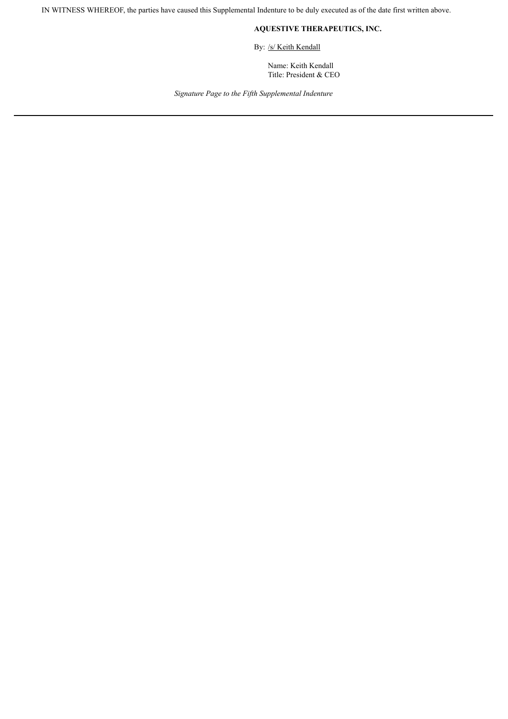IN WITNESS WHEREOF, the parties have caused this Supplemental Indenture to be duly executed as of the date first written above.

# **AQUESTIVE THERAPEUTICS, INC.**

By: /s/ Keith Kendall

Name: Keith Kendall Title: President & CEO

*Signature Page to the Fifth Supplemental Indenture*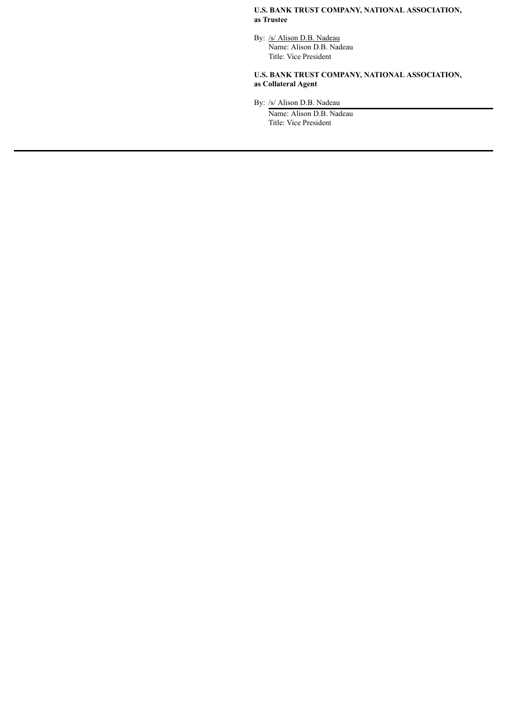# **U.S. BANK TRUST COMPANY, NATIONAL ASSOCIATION, as Trustee**

By: /s/ Alison D.B. Nadeau Name: Alison D.B. Nadeau Title: Vice President

# **U.S. BANK TRUST COMPANY, NATIONAL ASSOCIATION, as Collateral Agent**

By: /s/ Alison D.B. Nadeau

Name: Alison D.B. Nadeau Title: Vice President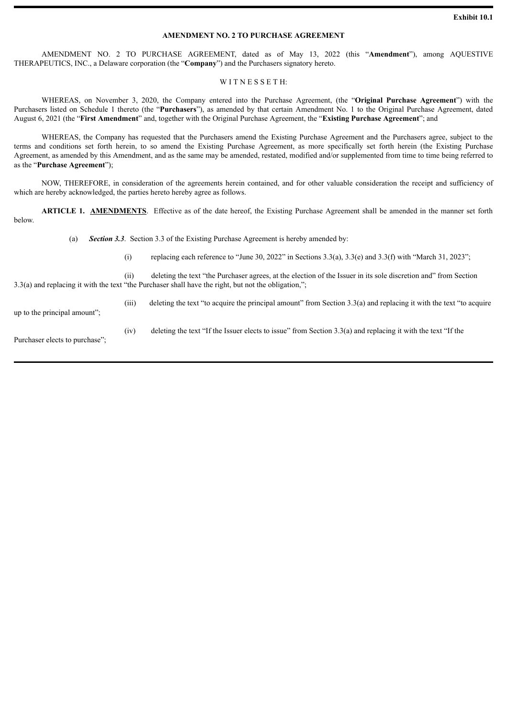#### **AMENDMENT NO. 2 TO PURCHASE AGREEMENT**

<span id="page-8-0"></span>AMENDMENT NO. 2 TO PURCHASE AGREEMENT, dated as of May 13, 2022 (this "**Amendment**"), among AQUESTIVE THERAPEUTICS, INC., a Delaware corporation (the "**Company**") and the Purchasers signatory hereto.

## WITNESSETH:

WHEREAS, on November 3, 2020, the Company entered into the Purchase Agreement, (the "**Original Purchase Agreement**") with the Purchasers listed on Schedule 1 thereto (the "**Purchasers**"), as amended by that certain Amendment No. 1 to the Original Purchase Agreement, dated August 6, 2021 (the "**First Amendment**" and, together with the Original Purchase Agreement, the "**Existing Purchase Agreement**"; and

WHEREAS, the Company has requested that the Purchasers amend the Existing Purchase Agreement and the Purchasers agree, subject to the terms and conditions set forth herein, to so amend the Existing Purchase Agreement, as more specifically set forth herein (the Existing Purchase Agreement, as amended by this Amendment, and as the same may be amended, restated, modified and/or supplemented from time to time being referred to as the "**Purchase Agreement**");

NOW, THEREFORE, in consideration of the agreements herein contained, and for other valuable consideration the receipt and sufficiency of which are hereby acknowledged, the parties hereto hereby agree as follows.

**ARTICLE 1. AMENDMENTS**. Effective as of the date hereof, the Existing Purchase Agreement shall be amended in the manner set forth below.

(a) *Section 3.3*. Section 3.3 of the Existing Purchase Agreement is hereby amended by:

(i) replacing each reference to "June 30, 2022" in Sections 3.3(a), 3.3(e) and 3.3(f) with "March 31, 2023";

(ii) deleting the text "the Purchaser agrees, at the election of the Issuer in its sole discretion and" from Section 3.3(a) and replacing it with the text "the Purchaser shall have the right, but not the obligation,";

up to the principal amount";

(iii) deleting the text "to acquire the principal amount" from Section 3.3(a) and replacing it with the text "to acquire

Purchaser elects to purchase";

(iv) deleting the text "If the Issuer elects to issue" from Section 3.3(a) and replacing it with the text "If the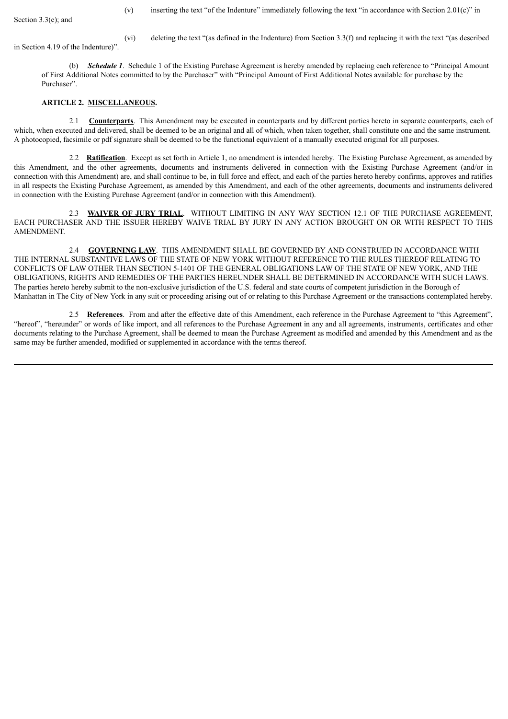Section 3.3(e); and

(v) inserting the text "of the Indenture" immediately following the text "in accordance with Section 2.01(c)" in

in Section 4.19 of the Indenture)".

(vi) deleting the text "(as defined in the Indenture) from Section 3.3(f) and replacing it with the text "(as described

(b) *Schedule 1*. Schedule 1 of the Existing Purchase Agreement is hereby amended by replacing each reference to "Principal Amount of First Additional Notes committed to by the Purchaser" with "Principal Amount of First Additional Notes available for purchase by the Purchaser".

## **ARTICLE 2. MISCELLANEOUS.**

2.1 **Counterparts**. This Amendment may be executed in counterparts and by different parties hereto in separate counterparts, each of which, when executed and delivered, shall be deemed to be an original and all of which, when taken together, shall constitute one and the same instrument. A photocopied, facsimile or pdf signature shall be deemed to be the functional equivalent of a manually executed original for all purposes.

2.2 **Ratification**. Except as set forth in Article 1, no amendment is intended hereby. The Existing Purchase Agreement, as amended by this Amendment, and the other agreements, documents and instruments delivered in connection with the Existing Purchase Agreement (and/or in connection with this Amendment) are, and shall continue to be, in full force and effect, and each of the parties hereto hereby confirms, approves and ratifies in all respects the Existing Purchase Agreement, as amended by this Amendment, and each of the other agreements, documents and instruments delivered in connection with the Existing Purchase Agreement (and/or in connection with this Amendment).

2.3 **WAIVER OF JURY TRIAL**. WITHOUT LIMITING IN ANY WAY SECTION 12.1 OF THE PURCHASE AGREEMENT, EACH PURCHASER AND THE ISSUER HEREBY WAIVE TRIAL BY JURY IN ANY ACTION BROUGHT ON OR WITH RESPECT TO THIS AMENDMENT.

2.4 **GOVERNING LAW**. THIS AMENDMENT SHALL BE GOVERNED BY AND CONSTRUED IN ACCORDANCE WITH THE INTERNAL SUBSTANTIVE LAWS OF THE STATE OF NEW YORK WITHOUT REFERENCE TO THE RULES THEREOF RELATING TO CONFLICTS OF LAW OTHER THAN SECTION 5-1401 OF THE GENERAL OBLIGATIONS LAW OF THE STATE OF NEW YORK, AND THE OBLIGATIONS, RIGHTS AND REMEDIES OF THE PARTIES HEREUNDER SHALL BE DETERMINED IN ACCORDANCE WITH SUCH LAWS. The parties hereto hereby submit to the non-exclusive jurisdiction of the U.S. federal and state courts of competent jurisdiction in the Borough of Manhattan in The City of New York in any suit or proceeding arising out of or relating to this Purchase Agreement or the transactions contemplated hereby.

2.5 **References**. From and after the effective date of this Amendment, each reference in the Purchase Agreement to "this Agreement", "hereof". "hereunder" or words of like import, and all references to the Purchase Agreement in any and all agreements, instruments, certificates and other documents relating to the Purchase Agreement, shall be deemed to mean the Purchase Agreement as modified and amended by this Amendment and as the same may be further amended, modified or supplemented in accordance with the terms thereof.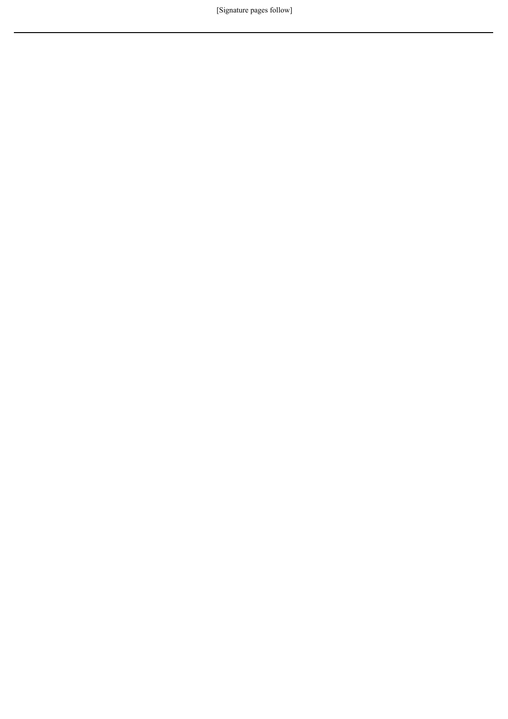[Signature pages follow]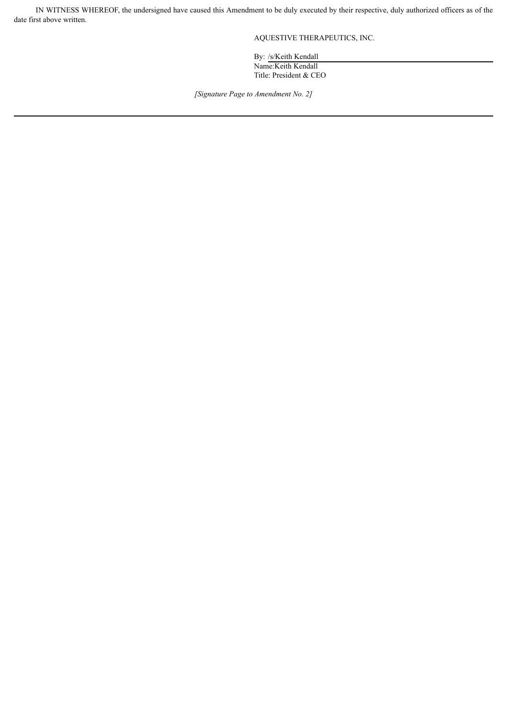IN WITNESS WHEREOF, the undersigned have caused this Amendment to be duly executed by their respective, duly authorized officers as of the date first above written.

AQUESTIVE THERAPEUTICS, INC.

By: /s/Keith Kendall Name:Keith Kendall Title: President & CEO

*[Signature Page to Amendment No. 2]*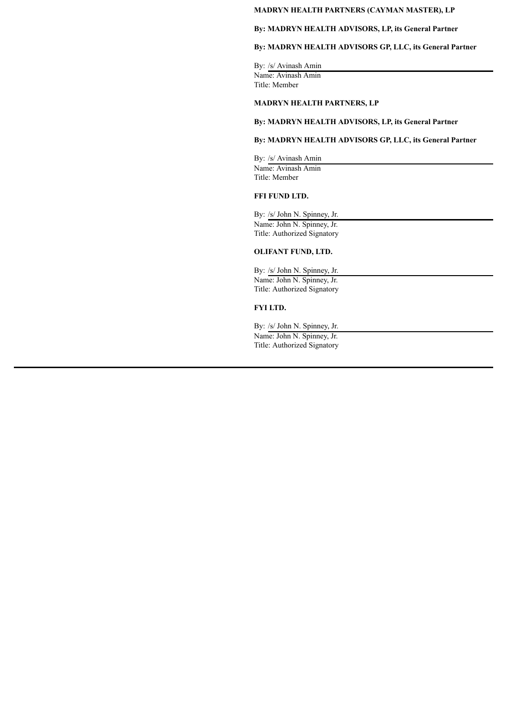# **MADRYN HEALTH PARTNERS (CAYMAN MASTER), LP**

# **By: MADRYN HEALTH ADVISORS, LP, its General Partner**

# **By: MADRYN HEALTH ADVISORS GP, LLC, its General Partner**

By: /s/ Avinash Amin Name: Avinash Amin Title: Member

# **MADRYN HEALTH PARTNERS, LP**

# **By: MADRYN HEALTH ADVISORS, LP, its General Partner**

# **By: MADRYN HEALTH ADVISORS GP, LLC, its General Partner**

By: /s/ Avinash Amin Name: Avinash Amin Title: Member

# **FFI FUND LTD.**

By: /s/ John N. Spinney, Jr. Name: John N. Spinney, Jr. Title: Authorized Signatory

#### **OLIFANT FUND, LTD.**

By: /s/ John N. Spinney, Jr. Name: John N. Spinney, Jr. Title: Authorized Signatory

# **FYI LTD.**

By: /s/ John N. Spinney, Jr. Name: John N. Spinney, Jr. Title: Authorized Signatory